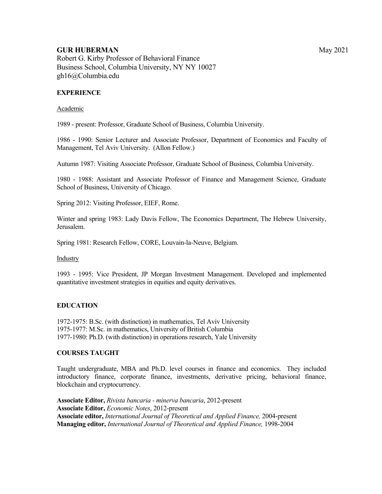# **GUR HUBERMAN** May 2021

Robert G. Kirby Professor of Behavioral Finance Business School, Columbia University, NY NY 10027 gh16@Columbia.edu

## **EXPERIENCE**

#### Academic

1989 - present: Professor, Graduate School of Business, Columbia University.

1986 - 1990: Senior Lecturer and Associate Professor, Department of Economics and Faculty of Management, Tel Aviv University. (Allon Fellow.)

Autumn 1987: Visiting Associate Professor, Graduate School of Business, Columbia University.

1980 - 1988: Assistant and Associate Professor of Finance and Management Science, Graduate School of Business, University of Chicago.

Spring 2012: Visiting Professor, EIEF, Rome.

Winter and spring 1983: Lady Davis Fellow, The Economics Department, The Hebrew University, Jerusalem.

Spring 1981: Research Fellow, CORE, Louvain-la-Neuve, Belgium.

Industry

1993 - 1995: Vice President, JP Morgan Investment Management. Developed and implemented quantitative investment strategies in equities and equity derivatives.

### **EDUCATION**

1972-1975: B.Sc. (with distinction) in mathematics, Tel Aviv University 1975-1977: M.Sc. in mathematics, University of British Columbia 1977-1980: Ph.D. (with distinction) in operations research, Yale University

### **COURSES TAUGHT**

Taught undergraduate, MBA and Ph.D. level courses in finance and economics. They included introductory finance, corporate finance, investments, derivative pricing, behavioral finance, blockchain and cryptocurrency.

**Associate Editor,** *Rivista bancaria - minerva bancaria*, 2012-present **Associate Editor,** *Economic Notes*, 2012-present **Associate editor,** *International Journal of Theoretical and Applied Finance,* 2004-present **Managing editor,** *International Journal of Theoretical and Applied Finance,* 1998-2004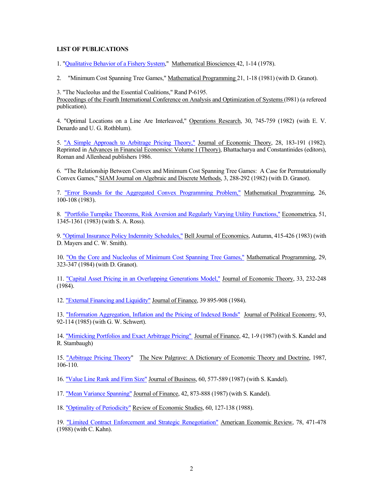#### **LIST OF PUBLICATIONS**

1. "Qualitative Behavior of a Fishery System," Mathematical Biosciences 42, 1-14 (1978).

2. "Minimum Cost Spanning Tree Games," Mathematical Programming 21, 1-18 (1981) (with D. Granot).

3. "The Nucleolus and the Essential Coalitions," Rand P-6195. Proceedings of the Fourth International Conference on Analysis and Optimization of Systems (l981) (a refereed publication).

4. "Optimal Locations on a Line Are Interleaved," Operations Research, 30, 745-759 (1982) (with E. V. Denardo and U. G. Rothblum).

5. "A Simple Approach to Arbitrage Pricing Theory," Journal of Economic Theory, 28, 183-191 (1982). Reprinted in Advances in Financial Economics: Volume I (Theory), Bhattacharya and Constantinides (editors), Roman and Allenhead publishers 1986.

6. "The Relationship Between Convex and Minimum Cost Spanning Tree Games: A Case for Permutationally Convex Games," SIAM Journal on Algebraic and Discrete Methods, 3, 288-292 (1982) (with D. Granot).

7. "Error Bounds for the Aggregated Convex Programming Problem," Mathematical Programming, 26, 100-108 (1983).

8. "Portfolio Turnpike Theorems, Risk Aversion and Regularly Varying Utility Functions," Econometrica, 51, 1345-1361 (1983) (with S. A. Ross).

9. "Optimal Insurance Policy Indemnity Schedules," Bell Journal of Economics, Autumn, 415-426 (1983) (with D. Mayers and C. W. Smith).

10. "On the Core and Nucleolus of Minimum Cost Spanning Tree Games," Mathematical Programming, 29, 323-347 (1984) (with D. Granot).

11. "Capital Asset Pricing in an Overlapping Generations Model," Journal of Economic Theory, 33, 232-248 (1984).

12. "External Financing and Liquidity" Journal of Finance, 39 895-908 (1984).

13. "Information Aggregation, Inflation and the Pricing of Indexed Bonds" Journal of Political Economy, 93, 92-114 (1985) (with G. W. Schwert).

14. "Mimicking Portfolios and Exact Arbitrage Pricing" Journal of Finance, 42, 1-9 (1987) (with S. Kandel and R. Stambaugh)

15. "Arbitrage Pricing Theory" The New Palgrave: A Dictionary of Economic Theory and Doctrine, 1987, 106-110.

16. "Value Line Rank and Firm Size" Journal of Business, 60, 577-589 (1987) (with S. Kandel).

17. "Mean Variance Spanning" Journal of Finance, 42, 873-888 (1987) (with S. Kandel).

18. "Optimality of Periodicity" Review of Economic Studies, 60, 127-138 (1988).

19. "Limited Contract Enforcement and Strategic Renegotiation" American Economic Review, 78, 471-478 (1988) (with C. Kahn).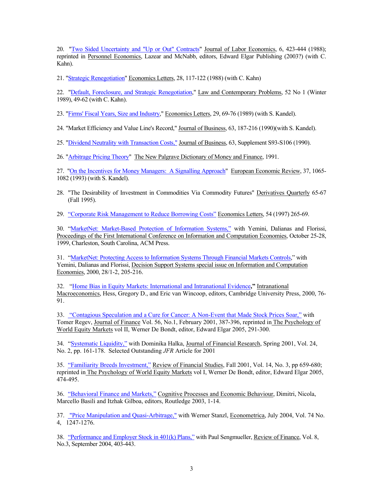20. "Two Sided Uncertainty and "Up or Out" Contracts" Journal of Labor Economics, 6, 423-444 (1988); reprinted in Personnel Economics, Lazear and McNabb, editors, Edward Elgar Publishing (2003?) (with C. Kahn).

21. "Strategic Renegotiation" Economics Letters, 28, 117-122 (1988) (with C. Kahn)

22. "Default, Foreclosure, and Strategic Renegotiation," Law and Contemporary Problems, 52 No 1 (Winter 1989), 49-62 (with C. Kahn).

23. "Firms' Fiscal Years, Size and Industry," Economics Letters, 29, 69-76 (1989) (with S. Kandel).

24. "Market Efficiency and Value Line's Record," Journal of Business, 63, 187-216 (1990)(with S. Kandel).

25. "Dividend Neutrality with Transaction Costs," Journal of Business, 63, Supplement S93-S106 (1990).

26. "Arbitrage Pricing Theory" The New Palgrave Dictionary of Money and Finance, 1991.

27. "On the Incentives for Money Managers: A Signalling Approach" European Economic Review, 37, 1065-1082 (1993) (with S. Kandel).

28. "The Desirability of Investment in Commodities Via Commodity Futures" Derivatives Quarterly 65-67 (Fall 1995).

29. "Corporate Risk Management to Reduce Borrowing Costs" Economics Letters, 54 (1997) 265-69.

30. "MarketNet: Market-Based Protection of Information Systems," with Yemini, Dalianas and Florissi, Proceedings of the First International Conference on Information and Computation Economies, October 25-28, 1999, Charleston, South Carolina, ACM Press.

31. "MarketNet: Protecting Access to Information Systems Through Financial Markets Controls," with Yemini, Dalianas and Florissi, Decision Support Systems special issue on Information and Computation Economies, 2000, 28/1-2, 205-216.

32. "Home Bias in Equity Markets: International and Intranational Evidence**,"** Intranational Macroeconomics, Hess, Gregory D., and Eric van Wincoop, editors, Cambridge University Press, 2000, 76- 91.

33. "Contagious Speculation and a Cure for Cancer: A Non-Event that Made Stock Prices Soar," with Tomer Regev, Journal of Finance Vol. 56, No.1, February 2001, 387-396, reprinted in The Psychology of World Equity Markets vol II, Werner De Bondt, editor, Edward Elgar 2005, 291-300.

34. "Systematic Liquidity," with Dominika Halka, Journal of Financial Research, Spring 2001, Vol. 24, No. 2, pp. 161-178. Selected Outstanding *JFR* Article for 2001

35. "Familiarity Breeds Investment," Review of Financial Studies, Fall 2001, Vol. 14, No. 3, pp 659-680; reprinted in The Psychology of World Equity Markets vol I, Werner De Bondt, editor, Edward Elgar 2005, 474-495.

36. "Behavioral Finance and Markets," Cognitive Processes and Economic Behaviour, Dimitri, Nicola, Marcello Basili and Itzhak Gilboa, editors, Routledge 2003, 1-14.

37. "Price Manipulation and Quasi-Arbitrage," with Werner Stanzl, Econometrica, July 2004, Vol. 74 No. 4, 1247-1276.

38. "Performance and Employer Stock in 401(k) Plans," with Paul Sengmueller, Review of Finance, Vol. 8, No.3, September 2004, 403-443.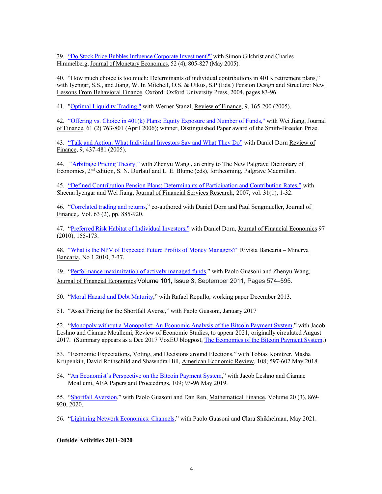39. "Do Stock Price Bubbles Influence Corporate Investment?" with Simon Gilchrist and Charles Himmelberg, Journal of Monetary Economics, 52 (4), 805-827 (May 2005).

40. "How much choice is too much: Determinants of individual contributions in 401K retirement plans," with Iyengar, S.S., and Jiang, W. In Mitchell, O.S. & Utkus, S.P (Eds.) Pension Design and Structure: New Lessons From Behavioral Finance. Oxford: Oxford University Press, 2004, pages 83-96.

41. "Optimal Liquidity Trading," with Werner Stanzl, Review of Finance, 9, 165-200 (2005).

42. "Offering vs. Choice in 401(k) Plans: Equity Exposure and Number of Funds," with Wei Jiang, Journal of Finance, 61 (2) 763-801 (April 2006); winner, Distinguished Paper award of the Smith-Breeden Prize.

43. "Talk and Action: What Individual Investors Say and What They Do" with Daniel Dorn Review of Finance, 9, 437-481 (2005).

44. "Arbitrage Pricing Theory," with Zhenyu Wang **,** an entry to The New Palgrave Dictionary of Economics, 2nd edition, S. N. Durlauf and L. E. Blume (eds), forthcoming, Palgrave Macmillan.

45. "Defined Contribution Pension Plans: Determinants of Participation and Contribution Rates," with Sheena Iyengar and Wei Jiang, Journal of Financial Services Research, 2007, vol. 31(1), 1-32.

46. "Correlated trading and returns," co-authored with Daniel Dorn and Paul Sengmueller, Journal of Finance,, Vol. 63 (2), pp. 885-920.

47. "Preferred Risk Habitat of Individual Investors," with Daniel Dorn, Journal of Financial Economics 97 (2010), 155-173.

48. "What is the NPV of Expected Future Profits of Money Managers?" Rivista Bancaria – Minerva Bancaria, No 1 2010, 7-37.

49. "Performance maximization of actively managed funds," with Paolo Guasoni and Zhenyu Wang, Journal of Financial Economics Volume 101, Issue 3, September 2011, Pages 574–595.

50. "Moral Hazard and Debt Maturity," with Rafael Repullo, working paper December 2013.

51. "Asset Pricing for the Shortfall Averse," with Paolo Guasoni, January 2017

52. "Monopoly without a Monopolist: An Economic Analysis of the Bitcoin Payment System," with Jacob Leshno and Ciamac Moallemi, Review of Economic Studies, to appear 2021; originally circulated August 2017. (Summary appears as a Dec 2017 VoxEU blogpost, The Economics of the Bitcoin Payment System.)

53. "Economic Expectations, Voting, and Decisions around Elections," with Tobias Konitzer, Masha Krupenkin, David Rothschild and Shawndra Hill, American Economic Review, 108; 597-602 May 2018.

54. "An Economist's Perspective on the Bitcoin Payment System," with Jacob Leshno and Ciamac Moallemi, AEA Papers and Proceedings, 109; 93-96 May 2019.

55. "Shortfall Aversion," with Paolo Guasoni and Dan Ren, Mathematical Finance, Volume 20 (3), 869- 920, 2020.

56. "Lightning Network Economics: Channels," with Paolo Guasoni and Clara Shikhelman, May 2021.

**Outside Activities 2011-2020**